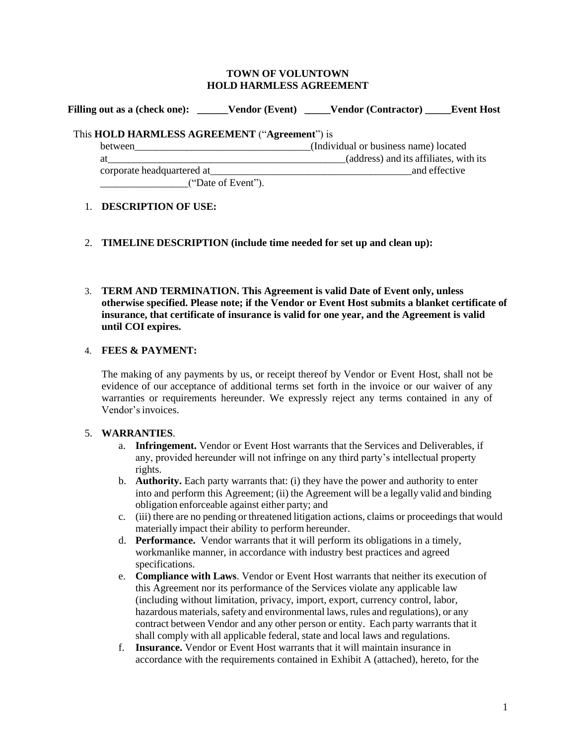#### **TOWN OF VOLUNTOWN HOLD HARMLESS AGREEMENT**

**Filling out as a (check one): \_\_\_\_\_\_Vendor (Event) \_\_\_\_\_Vendor (Contractor) \_\_\_\_\_Event Host** 

# This **HOLD HARMLESS AGREEMENT** ("**Agreement**") is

between\_\_\_\_\_\_\_\_\_\_\_\_\_\_\_\_\_\_\_\_\_\_\_\_\_\_\_\_\_\_\_\_\_\_(Individual or business name) located at\_\_\_\_\_\_\_\_\_\_\_\_\_\_\_\_\_\_\_\_\_\_\_\_\_\_\_\_\_\_\_\_\_\_\_\_\_\_\_\_\_\_\_\_\_\_(address) and its affiliates, with its corporate headquartered at  $\Box$ \_\_\_\_\_\_\_\_\_\_\_\_\_\_\_\_\_("Date of Event").

## 1. **DESCRIPTION OF USE:**

- 2. **TIMELINE DESCRIPTION (include time needed for set up and clean up):**
- 3. **TERM AND TERMINATION. This Agreement is valid Date of Event only, unless otherwise specified. Please note; if the Vendor or Event Host submits a blanket certificate of insurance, that certificate of insurance is valid for one year, and the Agreement is valid until COI expires.**

## 4. **FEES & PAYMENT:**

The making of any payments by us, or receipt thereof by Vendor or Event Host, shall not be evidence of our acceptance of additional terms set forth in the invoice or our waiver of any warranties or requirements hereunder. We expressly reject any terms contained in any of Vendor's invoices.

# 5. **WARRANTIES**.

- a. **Infringement.** Vendor or Event Host warrants that the Services and Deliverables, if any, provided hereunder will not infringe on any third party's intellectual property rights.
- b. **Authority.** Each party warrants that: (i) they have the power and authority to enter into and perform this Agreement; (ii) the Agreement will be a legally valid and binding obligation enforceable against either party; and
- c. (iii) there are no pending or threatened litigation actions, claims or proceedings that would materially impact their ability to perform hereunder.
- d. **Performance.** Vendor warrants that it will perform its obligations in a timely, workmanlike manner, in accordance with industry best practices and agreed specifications.
- e. **Compliance with Laws**. Vendor or Event Host warrants that neither its execution of this Agreement nor its performance of the Services violate any applicable law (including without limitation, privacy, import, export, currency control, labor, hazardous materials, safety and environmental laws, rules and regulations), or any contract between Vendor and any other person or entity. Each party warrants that it shall comply with all applicable federal, state and local laws and regulations.
- f. **Insurance.** Vendor or Event Host warrants that it will maintain insurance in accordance with the requirements contained in Exhibit A (attached), hereto, for the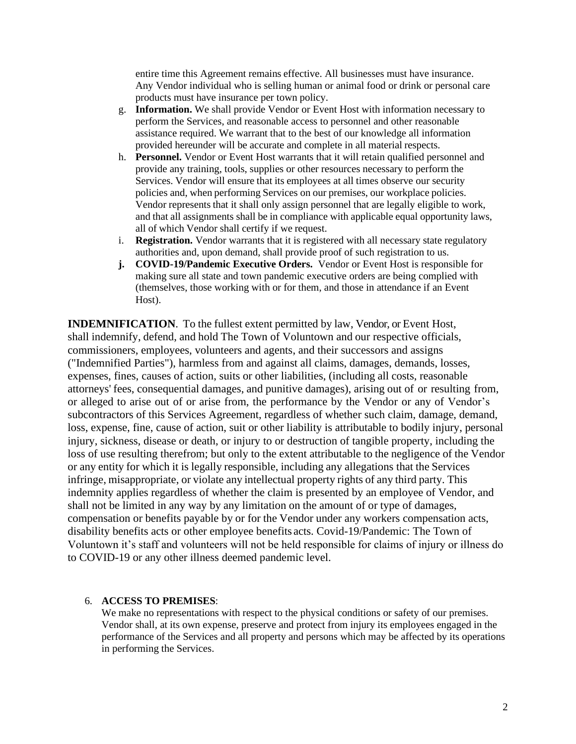entire time this Agreement remains effective. All businesses must have insurance. Any Vendor individual who is selling human or animal food or drink or personal care products must have insurance per town policy.

- g. **Information.** We shall provide Vendor or Event Host with information necessary to perform the Services, and reasonable access to personnel and other reasonable assistance required. We warrant that to the best of our knowledge all information provided hereunder will be accurate and complete in all material respects.
- h. **Personnel.** Vendor or Event Host warrants that it will retain qualified personnel and provide any training, tools, supplies or other resources necessary to perform the Services. Vendor will ensure that its employees at all times observe our security policies and, when performing Services on our premises, our workplace policies. Vendor represents that it shall only assign personnel that are legally eligible to work, and that all assignments shall be in compliance with applicable equal opportunity laws, all of which Vendor shall certify if we request.
- i. **Registration.** Vendor warrants that it is registered with all necessary state regulatory authorities and, upon demand, shall provide proof of such registration to us.
- **j. COVID-19/Pandemic Executive Orders.** Vendor or Event Host is responsible for making sure all state and town pandemic executive orders are being complied with (themselves, those working with or for them, and those in attendance if an Event Host).

**INDEMNIFICATION**. To the fullest extent permitted by law, Vendor, or Event Host, shall indemnify, defend, and hold The Town of Voluntown and our respective officials, commissioners, employees, volunteers and agents, and their successors and assigns ("Indemnified Parties"), harmless from and against all claims, damages, demands, losses, expenses, fines, causes of action, suits or other liabilities, (including all costs, reasonable attorneys' fees, consequential damages, and punitive damages), arising out of or resulting from, or alleged to arise out of or arise from, the performance by the Vendor or any of Vendor's subcontractors of this Services Agreement, regardless of whether such claim, damage, demand, loss, expense, fine, cause of action, suit or other liability is attributable to bodily injury, personal injury, sickness, disease or death, or injury to or destruction of tangible property, including the loss of use resulting therefrom; but only to the extent attributable to the negligence of the Vendor or any entity for which it is legally responsible, including any allegations that the Services infringe, misappropriate, or violate any intellectual property rights of any third party. This indemnity applies regardless of whether the claim is presented by an employee of Vendor, and shall not be limited in any way by any limitation on the amount of or type of damages, compensation or benefits payable by or for the Vendor under any workers compensation acts, disability benefits acts or other employee benefits acts. Covid-19/Pandemic: The Town of Voluntown it's staff and volunteers will not be held responsible for claims of injury or illness do to COVID-19 or any other illness deemed pandemic level.

## 6. **ACCESS TO PREMISES**:

We make no representations with respect to the physical conditions or safety of our premises. Vendor shall, at its own expense, preserve and protect from injury its employees engaged in the performance of the Services and all property and persons which may be affected by its operations in performing the Services.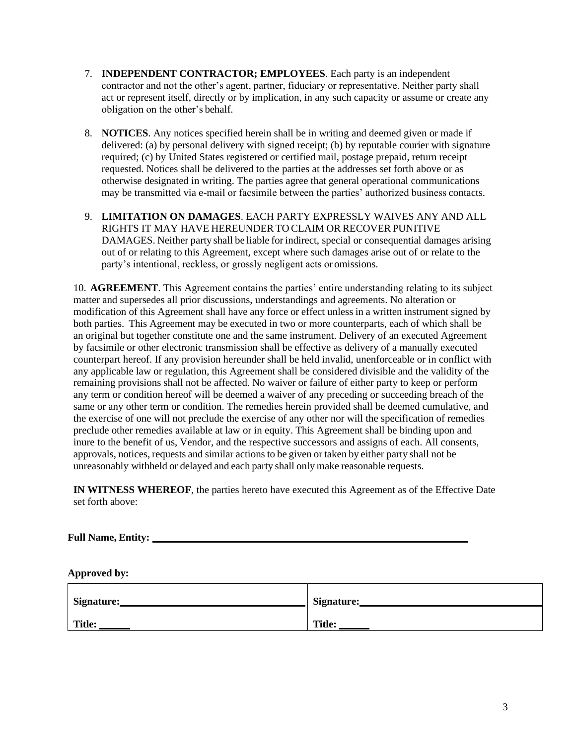- 7. **INDEPENDENT CONTRACTOR; EMPLOYEES**. Each party is an independent contractor and not the other's agent, partner, fiduciary or representative. Neither party shall act or represent itself, directly or by implication, in any such capacity or assume or create any obligation on the other's behalf.
- 8. **NOTICES**. Any notices specified herein shall be in writing and deemed given or made if delivered: (a) by personal delivery with signed receipt; (b) by reputable courier with signature required; (c) by United States registered or certified mail, postage prepaid, return receipt requested. Notices shall be delivered to the parties at the addresses set forth above or as otherwise designated in writing. The parties agree that general operational communications may be transmitted via e-mail or facsimile between the parties' authorized business contacts.
- 9. **LIMITATION ON DAMAGES**. EACH PARTY EXPRESSLY WAIVES ANY AND ALL RIGHTS IT MAY HAVE HEREUNDER TO CLAIM OR RECOVER PUNITIVE DAMAGES. Neither party shall be liable for indirect, special or consequential damages arising out of or relating to this Agreement, except where such damages arise out of or relate to the party's intentional, reckless, or grossly negligent acts or omissions.

10. **AGREEMENT**. This Agreement contains the parties' entire understanding relating to its subject matter and supersedes all prior discussions, understandings and agreements. No alteration or modification of this Agreement shall have any force or effect unless in a written instrument signed by both parties. This Agreement may be executed in two or more counterparts, each of which shall be an original but together constitute one and the same instrument. Delivery of an executed Agreement by facsimile or other electronic transmission shall be effective as delivery of a manually executed counterpart hereof. If any provision hereunder shall be held invalid, unenforceable or in conflict with any applicable law or regulation, this Agreement shall be considered divisible and the validity of the remaining provisions shall not be affected. No waiver or failure of either party to keep or perform any term or condition hereof will be deemed a waiver of any preceding or succeeding breach of the same or any other term or condition. The remedies herein provided shall be deemed cumulative, and the exercise of one will not preclude the exercise of any other nor will the specification of remedies preclude other remedies available at law or in equity. This Agreement shall be binding upon and inure to the benefit of us, Vendor, and the respective successors and assigns of each. All consents, approvals, notices, requests and similar actions to be given or taken by either party shall not be unreasonably withheld or delayed and each party shall only make reasonable requests.

**IN WITNESS WHEREOF**, the parties hereto have executed this Agreement as of the Effective Date set forth above:

**Full Name, Entity: \_\_\_\_\_\_\_\_\_\_\_\_\_\_\_\_\_\_\_\_\_\_\_\_\_\_\_\_\_\_\_\_\_\_\_\_\_\_\_\_\_\_\_\_\_\_\_\_\_\_\_\_\_\_\_\_\_\_\_\_\_**

**Approved by:**

| <b>Signature:</b> | Signature:    |
|-------------------|---------------|
| <b>Title:</b>     | <b>Title:</b> |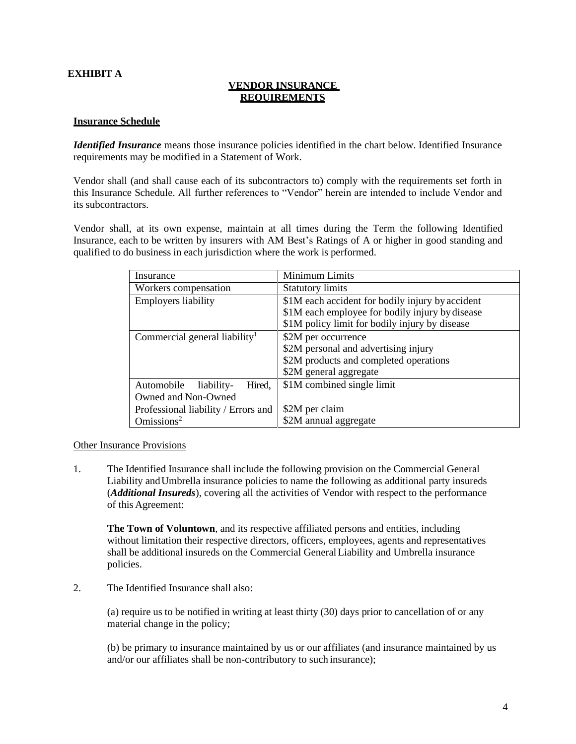## **EXHIBIT A**

## **VENDOR INSURANCE REQUIREMENTS**

#### **Insurance Schedule**

*Identified Insurance* means those insurance policies identified in the chart below. Identified Insurance requirements may be modified in a Statement of Work.

Vendor shall (and shall cause each of its subcontractors to) comply with the requirements set forth in this Insurance Schedule. All further references to "Vendor" herein are intended to include Vendor and its subcontractors.

Vendor shall, at its own expense, maintain at all times during the Term the following Identified Insurance, each to be written by insurers with AM Best's Ratings of A or higher in good standing and qualified to do business in each jurisdiction where the work is performed.

| Insurance                                 | Minimum Limits                                   |
|-------------------------------------------|--------------------------------------------------|
| Workers compensation                      | <b>Statutory limits</b>                          |
| Employers liability                       | \$1M each accident for bodily injury by accident |
|                                           | \$1M each employee for bodily injury by disease  |
|                                           | \$1M policy limit for bodily injury by disease   |
| Commercial general liability <sup>1</sup> | \$2M per occurrence                              |
|                                           | \$2M personal and advertising injury             |
|                                           | \$2M products and completed operations           |
|                                           | \$2M general aggregate                           |
| Hired,<br>Automobile<br>liability-        | \$1M combined single limit                       |
| Owned and Non-Owned                       |                                                  |
| Professional liability / Errors and       | \$2M per claim                                   |
| $O$ missions <sup>2</sup>                 | \$2M annual aggregate                            |

#### Other Insurance Provisions

1. The Identified Insurance shall include the following provision on the Commercial General Liability andUmbrella insurance policies to name the following as additional party insureds (*Additional Insureds*), covering all the activities of Vendor with respect to the performance of this Agreement:

**The Town of Voluntown**, and its respective affiliated persons and entities, including without limitation their respective directors, officers, employees, agents and representatives shall be additional insureds on the Commercial GeneralLiability and Umbrella insurance policies.

2. The Identified Insurance shall also:

(a) require us to be notified in writing at least thirty (30) days prior to cancellation of or any material change in the policy;

(b) be primary to insurance maintained by us or our affiliates (and insurance maintained by us and/or our affiliates shall be non-contributory to such insurance);